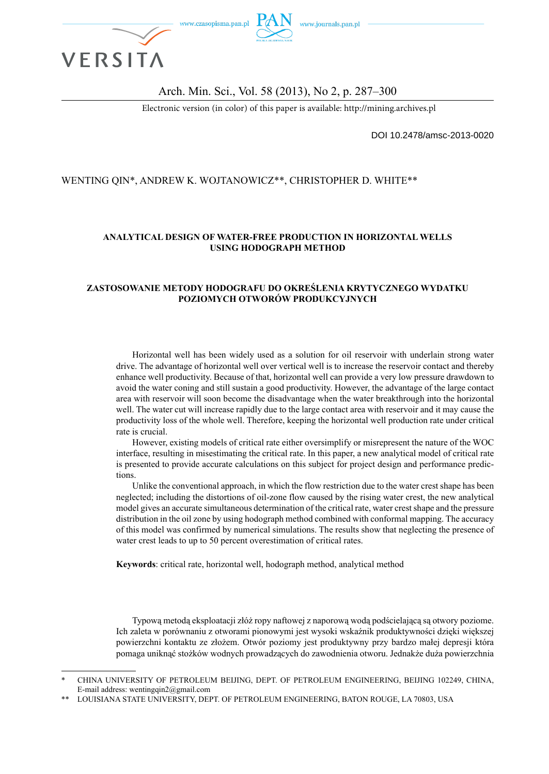

Arch. Min. Sci., Vol. 58 (2013), No 2, p. 287–300

Electronic version (in color) of this paper is available: http://mining.archives.pl

DOI 10.2478/amsc-2013-0020

### WENTING QIN\*, ANDREW K. WOJTANOWICZ\*\*, CHRISTOPHER D. WHITE\*\*

#### **ANALYTICAL DESIGN OF WATER-FREE PRODUCTION IN HORIZONTAL WELLS USING HODOGRAPH METHOD**

#### **ZASTOSOWANIE METODY HODOGRAFU DO OKREŚLENIA KRYTYCZNEGO WYDATKU POZIOMYCH OTWORÓW PRODUKCYJNYCH**

Horizontal well has been widely used as a solution for oil reservoir with underlain strong water drive. The advantage of horizontal well over vertical well is to increase the reservoir contact and thereby enhance well productivity. Because of that, horizontal well can provide a very low pressure drawdown to avoid the water coning and still sustain a good productivity. However, the advantage of the large contact area with reservoir will soon become the disadvantage when the water breakthrough into the horizontal well. The water cut will increase rapidly due to the large contact area with reservoir and it may cause the productivity loss of the whole well. Therefore, keeping the horizontal well production rate under critical rate is crucial.

However, existing models of critical rate either oversimplify or misrepresent the nature of the WOC interface, resulting in misestimating the critical rate. In this paper, a new analytical model of critical rate is presented to provide accurate calculations on this subject for project design and performance predictions.

Unlike the conventional approach, in which the flow restriction due to the water crest shape has been neglected; including the distortions of oil-zone flow caused by the rising water crest, the new analytical model gives an accurate simultaneous determination of the critical rate, water crest shape and the pressure distribution in the oil zone by using hodograph method combined with conformal mapping. The accuracy of this model was confirmed by numerical simulations. The results show that neglecting the presence of water crest leads to up to 50 percent overestimation of critical rates.

**Keywords**: critical rate, horizontal well, hodograph method, analytical method

Typową metodą eksploatacji złóż ropy naftowej z naporową wodą podścielającą są otwory poziome. Ich zaleta w porównaniu z otworami pionowymi jest wysoki wskaźnik produktywności dzięki większej powierzchni kontaktu ze złożem. Otwór poziomy jest produktywny przy bardzo małej depresji która pomaga uniknąć stożków wodnych prowadzących do zawodnienia otworu. Jednakże duża powierzchnia

<sup>\*</sup> CHINA UNIVERSITY OF PETROLEUM BEIJING, DEPT. OF PETROLEUM ENGINEERING, BEIJING 102249, CHINA, E-mail address: wentingqin2@gmail.com

LOUISIANA STATE UNIVERSITY, DEPT. OF PETROLEUM ENGINEERING, BATON ROUGE, LA 70803, USA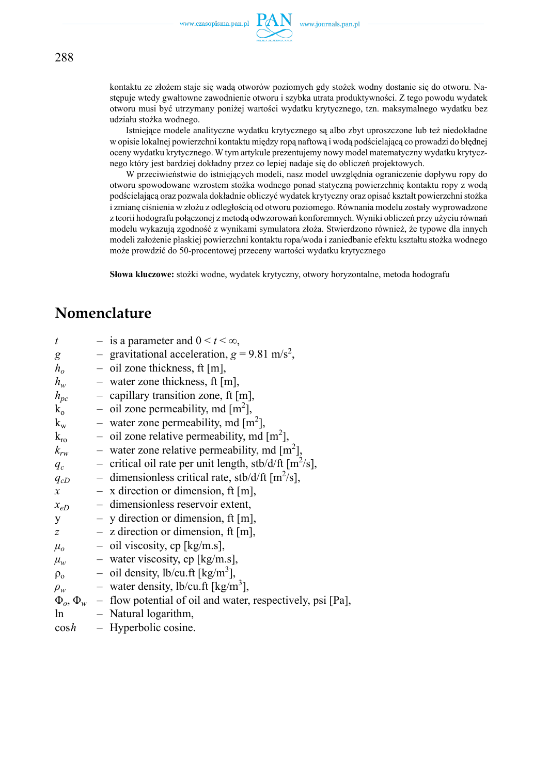

kontaktu ze złożem staje się wadą otworów poziomych gdy stożek wodny dostanie się do otworu. Następuje wtedy gwałtowne zawodnienie otworu i szybka utrata produktywności. Z tego powodu wydatek otworu musi być utrzymany poniżej wartości wydatku krytycznego, tzn. maksymalnego wydatku bez udziału stożka wodnego.

Istniejące modele analityczne wydatku krytycznego są albo zbyt uproszczone lub też niedokładne w opisie lokalnej powierzchni kontaktu między ropą naftową i wodą podścielającą co prowadzi do błędnej oceny wydatku krytycznego. W tym artykule prezentujemy nowy model matematyczny wydatku krytycznego który jest bardziej dokładny przez co lepiej nadaje się do obliczeń projektowych.

W przeciwieństwie do istniejących modeli, nasz model uwzględnia ograniczenie dopływu ropy do otworu spowodowane wzrostem stożka wodnego ponad statyczną powierzchnię kontaktu ropy z wodą podścielającą oraz pozwala dokładnie obliczyć wydatek krytyczny oraz opisać kształt powierzchni stożka i zmianę ciśnienia w złożu z odległością od otworu poziomego. Równania modelu zostały wyprowadzone z teorii hodografu połączonej z metodą odwzorowań konforemnych. Wyniki obliczeń przy użyciu równań modelu wykazują zgodność z wynikami symulatora złoża. Stwierdzono również, że typowe dla innych modeli założenie płaskiej powierzchni kontaktu ropa/woda i zaniedbanie efektu kształtu stożka wodnego może prowdzić do 50-procentowej przeceny wartości wydatku krytycznego

**Słowa kluczowe:** stożki wodne, wydatek krytyczny, otwory horyzontalne, metoda hodografu

# **Nomenclature**

| $\boldsymbol{t}$   | - is a parameter and $0 \le t \le \infty$ ,                                             |
|--------------------|-----------------------------------------------------------------------------------------|
| g                  | - gravitational acceleration, $g = 9.81$ m/s <sup>2</sup> ,                             |
| $h_o$              | $-$ oil zone thickness, ft [m],                                                         |
| $h_w$              | - water zone thickness, ft $[m]$ ,                                                      |
| $h_{pc}$           | - capillary transition zone, ft [m],                                                    |
| $k_0$              | - oil zone permeability, md $[m^2]$ ,                                                   |
| $k_{w}$            | - water zone permeability, md $\lceil m^2 \rceil$ ,                                     |
| $k_{\rm ro}$       | - oil zone relative permeability, md $\lceil m^2 \rceil$ ,                              |
| $k_{rw}$           | - water zone relative permeability, md $\lceil m^2 \rceil$ ,                            |
| $q_c$              | - critical oil rate per unit length, stb/d/ft $[m^2/s]$ ,                               |
| $q_{cD}$           | - dimensionless critical rate, stb/d/ft $\lceil m^2/s \rceil$ ,                         |
| $\mathcal{X}$      | $- x$ direction or dimension, ft [m],                                                   |
| $x_{eD}$           | - dimensionless reservoir extent,                                                       |
| y                  | $-$ y direction or dimension, ft [m],                                                   |
| $\overline{z}$     | $-$ z direction or dimension, ft [m],                                                   |
| $\mu$ <sub>o</sub> | $-$ oil viscosity, cp [kg/m.s],                                                         |
| $\mu_w$            | - water viscosity, cp [kg/m.s],                                                         |
|                    | $\rho_0$ – oil density, lb/cu.ft [kg/m <sup>3</sup> ],                                  |
| $\rho_w$           | - water density, lb/cu.ft [kg/m <sup>3</sup> ],                                         |
|                    | $\Phi_{\alpha}$ , $\Phi_{w}$ – flow potential of oil and water, respectively, psi [Pa], |
| ln                 | - Natural logarithm,                                                                    |
| $\cosh$            | - Hyperbolic cosine.                                                                    |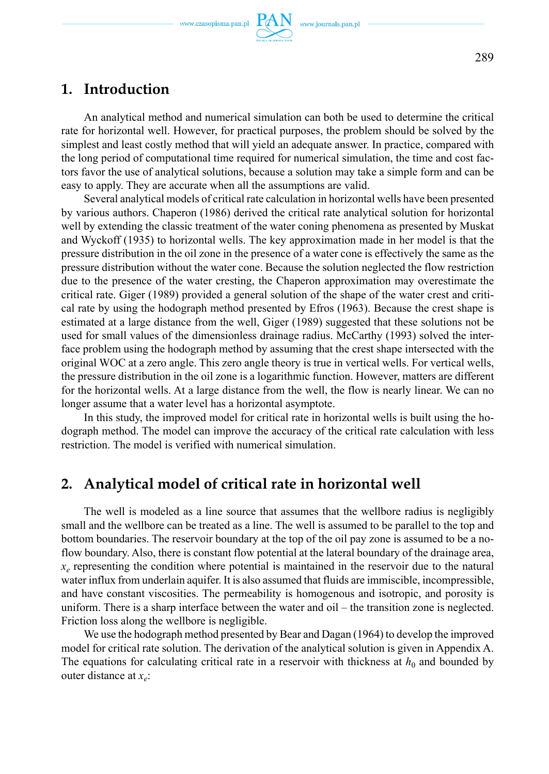## **1. Introduction**

An analytical method and numerical simulation can both be used to determine the critical rate for horizontal well. However, for practical purposes, the problem should be solved by the simplest and least costly method that will yield an adequate answer. In practice, compared with the long period of computational time required for numerical simulation, the time and cost factors favor the use of analytical solutions, because a solution may take a simple form and can be easy to apply. They are accurate when all the assumptions are valid.

Several analytical models of critical rate calculation in horizontal wells have been presented by various authors. Chaperon (1986) derived the critical rate analytical solution for horizontal well by extending the classic treatment of the water coning phenomena as presented by Muskat and Wyckoff (1935) to horizontal wells. The key approximation made in her model is that the pressure distribution in the oil zone in the presence of a water cone is effectively the same as the pressure distribution without the water cone. Because the solution neglected the flow restriction due to the presence of the water cresting, the Chaperon approximation may overestimate the critical rate. Giger (1989) provided a general solution of the shape of the water crest and critical rate by using the hodograph method presented by Efros (1963). Because the crest shape is estimated at a large distance from the well, Giger (1989) suggested that these solutions not be used for small values of the dimensionless drainage radius. McCarthy (1993) solved the interface problem using the hodograph method by assuming that the crest shape intersected with the original WOC at a zero angle. This zero angle theory is true in vertical wells. For vertical wells, the pressure distribution in the oil zone is a logarithmic function. However, matters are different for the horizontal wells. At a large distance from the well, the flow is nearly linear. We can no longer assume that a water level has a horizontal asymptote.

In this study, the improved model for critical rate in horizontal wells is built using the hodograph method. The model can improve the accuracy of the critical rate calculation with less restriction. The model is verified with numerical simulation.

# **2. Analytical model of critical rate in horizontal well**

The well is modeled as a line source that assumes that the wellbore radius is negligibly small and the wellbore can be treated as a line. The well is assumed to be parallel to the top and bottom boundaries. The reservoir boundary at the top of the oil pay zone is assumed to be a noflow boundary. Also, there is constant flow potential at the lateral boundary of the drainage area,  $x_e$  representing the condition where potential is maintained in the reservoir due to the natural water influx from underlain aquifer. It is also assumed that fluids are immiscible, incompressible, and have constant viscosities. The permeability is homogenous and isotropic, and porosity is uniform. There is a sharp interface between the water and oil – the transition zone is neglected. Friction loss along the wellbore is negligible.

We use the hodograph method presented by Bear and Dagan (1964) to develop the improved model for critical rate solution. The derivation of the analytical solution is given in Appendix A. The equations for calculating critical rate in a reservoir with thickness at  $h_0$  and bounded by outer distance at *xe*: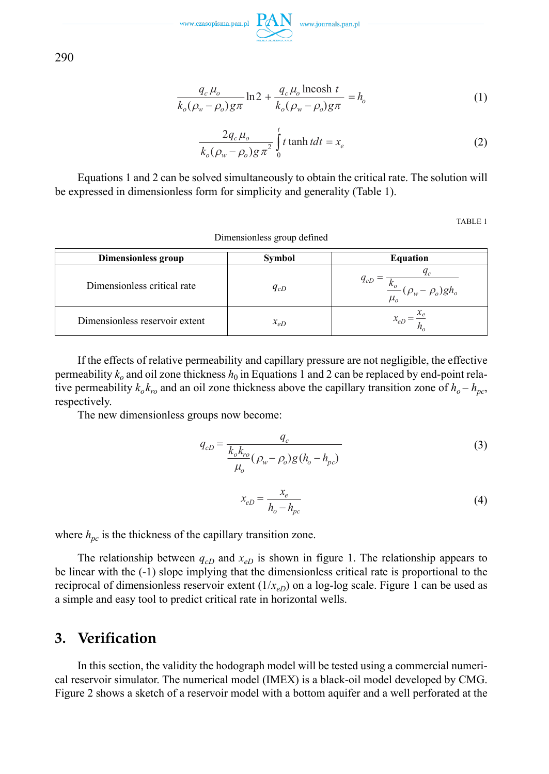

290

$$
\frac{q_c \mu_o}{k_o(\rho_w - \rho_o)g\pi} \ln 2 + \frac{q_c \mu_o \text{lncosh } t}{k_o(\rho_w - \rho_o)g\pi} = h_o \tag{1}
$$

$$
\frac{2q_c\mu_o}{k_o(\rho_w-\rho_o)g\pi^2}\int_0^t t \tanh t dt = x_e
$$
 (2)

Equations 1 and 2 can be solved simultaneously to obtain the critical rate. The solution will be expressed in dimensionless form for simplicity and generality (Table 1).

Dimensionless group defined

TABLE 1

| Dimensionless group            | Symbol   | <b>Equation</b>                              |  |  |
|--------------------------------|----------|----------------------------------------------|--|--|
| Dimensionless critical rate    | $q_{cD}$ | $q_c$<br>$q_{cD}$<br>$(\rho_w - \rho_o)gh_o$ |  |  |
| Dimensionless reservoir extent | $x_{eD}$ |                                              |  |  |

If the effects of relative permeability and capillary pressure are not negligible, the effective permeability  $k_0$  and oil zone thickness  $h_0$  in Equations 1 and 2 can be replaced by end-point relative permeability  $k_0 k_{ro}$  and an oil zone thickness above the capillary transition zone of  $h_o - h_{pc}$ , respectively.

The new dimensionless groups now become:

$$
q_{cD} = \frac{q_c}{\frac{k_o k_{ro}}{\mu_o} (\rho_w - \rho_o) g (h_o - h_{pc})}
$$
(3)

$$
x_{eD} = \frac{x_e}{h_o - h_{pc}}
$$
\n<sup>(4)</sup>

where  $h_{pc}$  is the thickness of the capillary transition zone.

The relationship between  $q_{cD}$  and  $x_{eD}$  is shown in figure 1. The relationship appears to be linear with the (-1) slope implying that the dimensionless critical rate is proportional to the reciprocal of dimensionless reservoir extent  $(1/x_{eD})$  on a log-log scale. Figure 1 can be used as a simple and easy tool to predict critical rate in horizontal wells.

### **3. Verification**

In this section, the validity the hodograph model will be tested using a commercial numerical reservoir simulator. The numerical model (IMEX) is a black-oil model developed by CMG. Figure 2 shows a sketch of a reservoir model with a bottom aquifer and a well perforated at the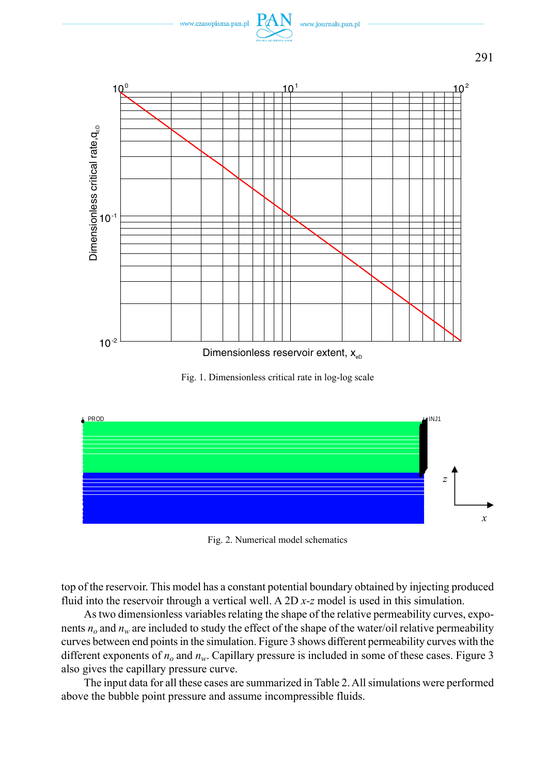



Fig. 1. Dimensionless critical rate in log-log scale



Fig. 2. Numerical model schematics

top of the reservoir. This model has a constant potential boundary obtained by injecting produced fluid into the reservoir through a vertical well. A 2D *x-z* model is used in this simulation.

As two dimensionless variables relating the shape of the relative permeability curves, exponents  $n<sub>o</sub>$  and  $n<sub>w</sub>$  are included to study the effect of the shape of the water/oil relative permeability curves between end points in the simulation. Figure 3 shows different permeability curves with the different exponents of  $n<sub>o</sub>$  and  $n<sub>w</sub>$ . Capillary pressure is included in some of these cases. Figure 3 also gives the capillary pressure curve.

The input data for all these cases are summarized in Table 2. All simulations were performed above the bubble point pressure and assume incompressible fluids.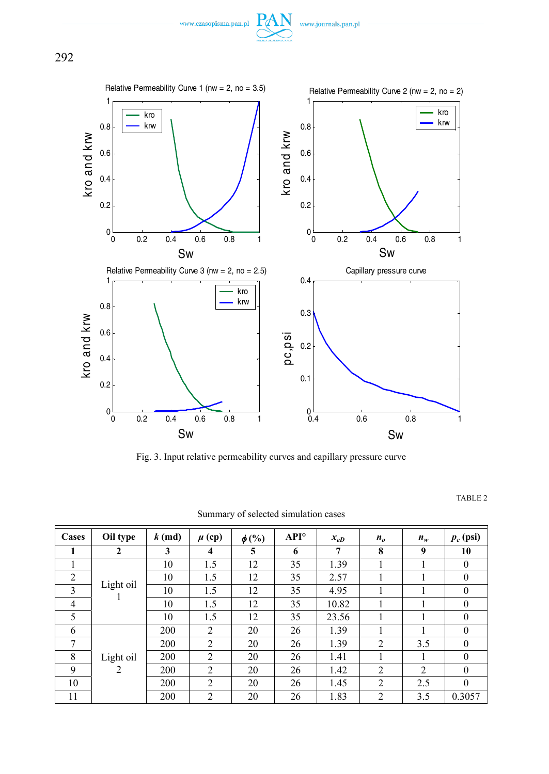





Fig. 3. Input relative permeability curves and capillary pressure curve

TABLE 2

| Cases          | Oil type                    | $k$ (md) | $\mu$ (cp)              |            | $API^{\circ}$ |          |                            |       | $p_c$ (psi) |
|----------------|-----------------------------|----------|-------------------------|------------|---------------|----------|----------------------------|-------|-------------|
|                |                             |          |                         | $\phi$ (%) |               | $x_{eD}$ | $n_{\scriptscriptstyle a}$ | $n_w$ |             |
| 1              | 2                           | 3        | $\overline{\mathbf{4}}$ | 5          | 6             | 7        | 8                          | 9     | 10          |
|                | Light oil                   | 10       | 1.5                     | 12         | 35            | 1.39     | 1                          |       | $\Omega$    |
| 2              |                             | 10       | 1.5                     | 12         | 35            | 2.57     | 1                          |       | $\theta$    |
| 3              |                             | 10       | 1.5                     | 12         | 35            | 4.95     | 1                          |       | $\theta$    |
| $\overline{4}$ |                             | 10       | 1.5                     | 12         | 35            | 10.82    | 1                          |       | $\Omega$    |
| 5              |                             | 10       | 1.5                     | 12         | 35            | 23.56    |                            |       | $\theta$    |
| 6              |                             | 200      | 2                       | 20         | 26            | 1.39     |                            |       | $\theta$    |
| 7              | Light oil<br>$\overline{c}$ | 200      | 2                       | 20         | 26            | 1.39     | $\overline{c}$             | 3.5   | $\theta$    |
| 8              |                             | 200      | 2                       | 20         | 26            | 1.41     | 1                          |       | $\Omega$    |
| 9              |                             | 200      | $\overline{c}$          | 20         | 26            | 1.42     | 2                          | 2     | $\theta$    |
| 10             |                             | 200      | 2                       | 20         | 26            | 1.45     | 2                          | 2.5   | $\theta$    |
| 11             |                             | 200      | $\overline{2}$          | 20         | 26            | 1.83     | $\overline{2}$             | 3.5   | 0.3057      |

Summary of selected simulation cases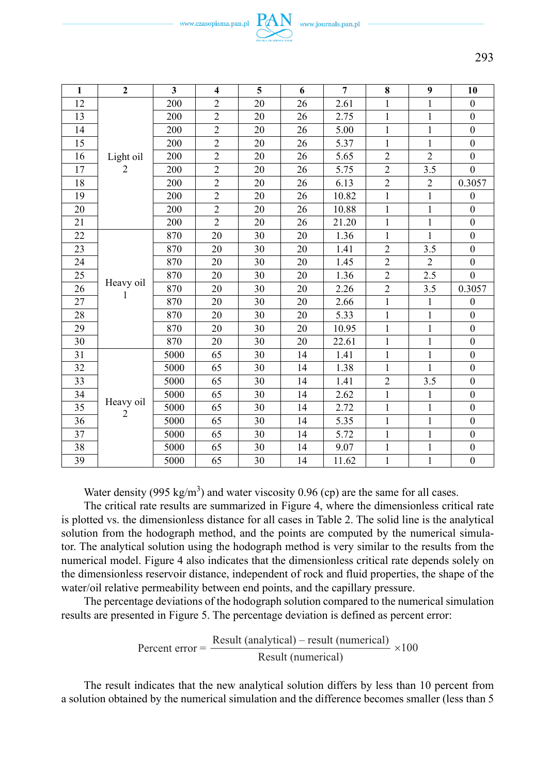

| 1  | $\overline{2}$ | 3    | $\overline{\mathbf{4}}$ | 5  | 6  | $\overline{7}$ | 8              | 9              | 10               |
|----|----------------|------|-------------------------|----|----|----------------|----------------|----------------|------------------|
| 12 | Light oil      | 200  | $\overline{c}$          | 20 | 26 | 2.61           | 1              | 1              | $\mathbf{0}$     |
| 13 |                | 200  | $\overline{c}$          | 20 | 26 | 2.75           | $\mathbf{1}$   | $\mathbf{1}$   | $\theta$         |
| 14 |                | 200  | $\overline{c}$          | 20 | 26 | 5.00           | $\mathbf{1}$   | $\mathbf{1}$   | $\mathbf{0}$     |
| 15 |                | 200  | $\overline{c}$          | 20 | 26 | 5.37           | $\mathbf{1}$   | 1              | $\theta$         |
| 16 |                | 200  | $\overline{c}$          | 20 | 26 | 5.65           | $\overline{c}$ | $\overline{2}$ | $\theta$         |
| 17 | 2              | 200  | $\overline{2}$          | 20 | 26 | 5.75           | $\overline{2}$ | 3.5            | $\theta$         |
| 18 |                | 200  | $\overline{c}$          | 20 | 26 | 6.13           | $\sqrt{2}$     | $\overline{c}$ | 0.3057           |
| 19 |                | 200  | $\overline{2}$          | 20 | 26 | 10.82          | $\mathbf{1}$   | $\mathbf{1}$   | $\theta$         |
| 20 |                | 200  | $\overline{c}$          | 20 | 26 | 10.88          | $\mathbf{1}$   | $\mathbf{1}$   | $\theta$         |
| 21 |                | 200  | $\overline{c}$          | 20 | 26 | 21.20          | $\mathbf{1}$   | $\mathbf{1}$   | $\theta$         |
| 22 |                | 870  | 20                      | 30 | 20 | 1.36           | $\mathbf{1}$   | $\mathbf{1}$   | $\theta$         |
| 23 |                | 870  | 20                      | 30 | 20 | 1.41           | $\overline{2}$ | 3.5            | $\boldsymbol{0}$ |
| 24 |                | 870  | 20                      | 30 | 20 | 1.45           | $\overline{2}$ | $\overline{2}$ | $\mathbf{0}$     |
| 25 |                | 870  | 20                      | 30 | 20 | 1.36           | $\overline{c}$ | 2.5            | $\theta$         |
| 26 | Heavy oil<br>1 | 870  | 20                      | 30 | 20 | 2.26           | $\overline{2}$ | 3.5            | 0.3057           |
| 27 |                | 870  | 20                      | 30 | 20 | 2.66           | $\mathbf{1}$   | $\mathbf{1}$   | $\mathbf{0}$     |
| 28 |                | 870  | 20                      | 30 | 20 | 5.33           | $\mathbf{1}$   | $\mathbf{1}$   | $\theta$         |
| 29 |                | 870  | 20                      | 30 | 20 | 10.95          | $\mathbf{1}$   | $\mathbf{1}$   | $\mathbf{0}$     |
| 30 |                | 870  | 20                      | 30 | 20 | 22.61          | $\mathbf{1}$   | $\mathbf{1}$   | $\mathbf{0}$     |
| 31 |                | 5000 | 65                      | 30 | 14 | 1.41           | $\mathbf{1}$   | $\mathbf{1}$   | $\theta$         |
| 32 |                | 5000 | 65                      | 30 | 14 | 1.38           | 1              | 1              | $\mathbf{0}$     |
| 33 | Heavy oil<br>2 | 5000 | 65                      | 30 | 14 | 1.41           | $\overline{2}$ | 3.5            | $\mathbf{0}$     |
| 34 |                | 5000 | 65                      | 30 | 14 | 2.62           | $\mathbf{1}$   | $\mathbf{1}$   | $\theta$         |
| 35 |                | 5000 | 65                      | 30 | 14 | 2.72           | $\mathbf{1}$   | $\mathbf{1}$   | $\Omega$         |
| 36 |                | 5000 | 65                      | 30 | 14 | 5.35           | $\mathbf{1}$   | $\mathbf{1}$   | $\theta$         |
| 37 |                | 5000 | 65                      | 30 | 14 | 5.72           | 1              | $\mathbf{1}$   | $\mathbf{0}$     |
| 38 |                | 5000 | 65                      | 30 | 14 | 9.07           | $\mathbf{1}$   | $\mathbf{1}$   | $\mathbf{0}$     |
| 39 |                | 5000 | 65                      | 30 | 14 | 11.62          | $\mathbf{1}$   | $\mathbf{1}$   | $\mathbf{0}$     |

Water density (995 kg/m<sup>3</sup>) and water viscosity 0.96 (cp) are the same for all cases.

The critical rate results are summarized in Figure 4, where the dimensionless critical rate is plotted vs. the dimensionless distance for all cases in Table 2. The solid line is the analytical solution from the hodograph method, and the points are computed by the numerical simulator. The analytical solution using the hodograph method is very similar to the results from the numerical model. Figure 4 also indicates that the dimensionless critical rate depends solely on the dimensionless reservoir distance, independent of rock and fluid properties, the shape of the water/oil relative permeability between end points, and the capillary pressure.

The percentage deviations of the hodograph solution compared to the numerical simulation results are presented in Figure 5. The percentage deviation is defined as percent error:

$$
Percent error = \frac{Result (analytical) - result (numerical)}{Result (numerical)} \times 100
$$

The result indicates that the new analytical solution differs by less than 10 percent from a solution obtained by the numerical simulation and the difference becomes smaller (less than 5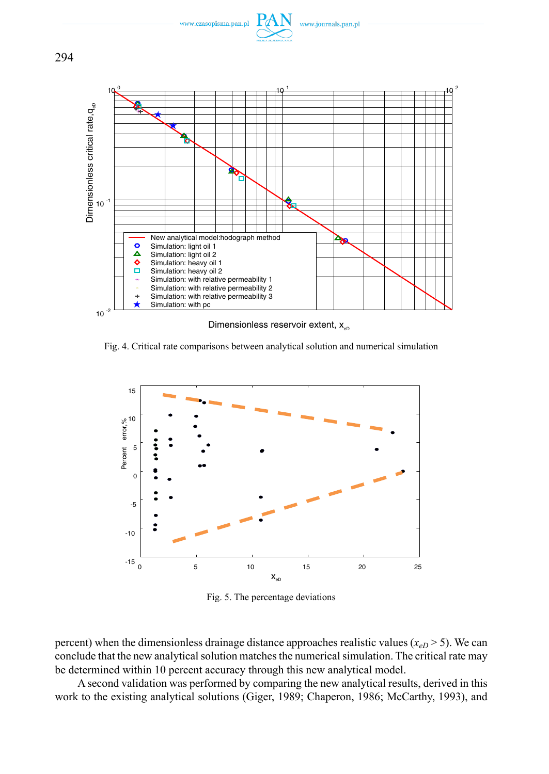www.czasopisma.pan.pl





Dimensionless reservoir extent,  $x_{\text{on}}$ 

Fig. 4. Critical rate comparisons between analytical solution and numerical simulation



Fig. 5. The percentage deviations

percent) when the dimensionless drainage distance approaches realistic values  $(x_{eD} > 5)$ . We can conclude that the new analytical solution matches the numerical simulation. The critical rate may be determined within 10 percent accuracy through this new analytical model.

A second validation was performed by comparing the new analytical results, derived in this work to the existing analytical solutions (Giger, 1989; Chaperon, 1986; McCarthy, 1993), and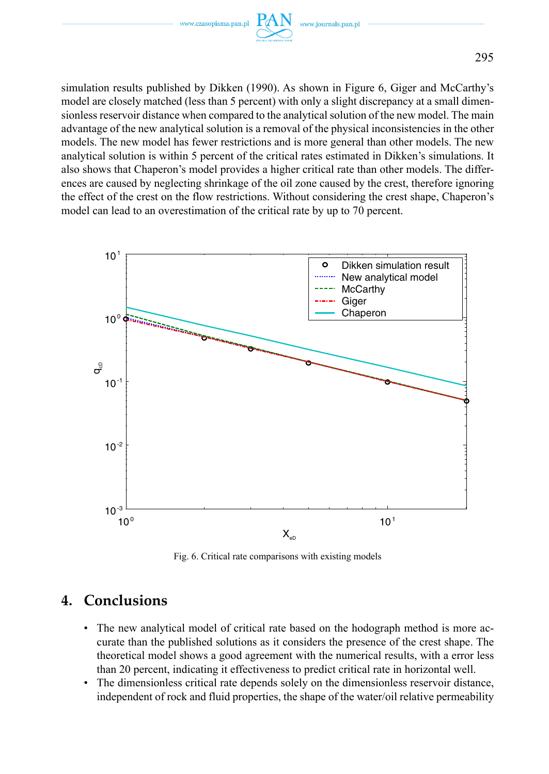

simulation results published by Dikken (1990). As shown in Figure 6, Giger and McCarthy's model are closely matched (less than 5 percent) with only a slight discrepancy at a small dimensionless reservoir distance when compared to the analytical solution of the new model. The main advantage of the new analytical solution is a removal of the physical inconsistencies in the other models. The new model has fewer restrictions and is more general than other models. The new analytical solution is within 5 percent of the critical rates estimated in Dikken's simulations. It also shows that Chaperon's model provides a higher critical rate than other models. The differences are caused by neglecting shrinkage of the oil zone caused by the crest, therefore ignoring the effect of the crest on the flow restrictions. Without considering the crest shape, Chaperon's model can lead to an overestimation of the critical rate by up to 70 percent.



Fig. 6. Critical rate comparisons with existing models

# **4. Conclusions**

- The new analytical model of critical rate based on the hodograph method is more accurate than the published solutions as it considers the presence of the crest shape. The theoretical model shows a good agreement with the numerical results, with a error less than 20 percent, indicating it effectiveness to predict critical rate in horizontal well.
- The dimensionless critical rate depends solely on the dimensionless reservoir distance, independent of rock and fluid properties, the shape of the water/oil relative permeability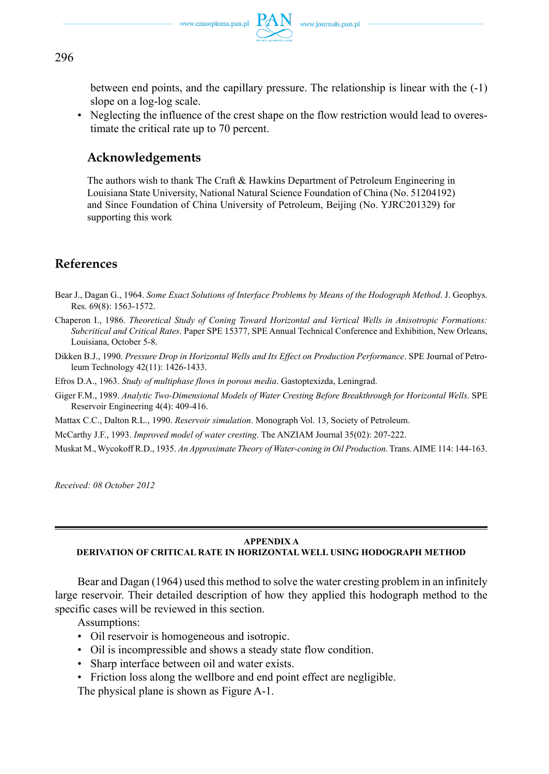between end points, and the capillary pressure. The relationship is linear with the (-1) slope on a log-log scale.

• Neglecting the influence of the crest shape on the flow restriction would lead to overestimate the critical rate up to 70 percent.

### **Acknowledgements**

The authors wish to thank The Craft & Hawkins Department of Petroleum Engineering in Louisiana State University, National Natural Science Foundation of China (No. 51204192) and Since Foundation of China University of Petroleum, Beijing (No. YJRC201329) for supporting this work

### **References**

- Bear J., Dagan G., 1964. *Some Exact Solutions of Interface Problems by Means of the Hodograph Method*. J. Geophys. Res. 69(8): 1563-1572.
- Chaperon I., 1986. *Theoretical Study of Coning Toward Horizontal and Vertical Wells in Anisotropic Formations: Subcritical and Critical Rates*. Paper SPE 15377, SPE Annual Technical Conference and Exhibition, New Orleans, Louisiana, October 5-8.
- Dikken B.J., 1990. *Pressure Drop in Horizontal Wells and Its Effect on Production Performance*. SPE Journal of Petroleum Technology 42(11): 1426-1433.
- Efros D.A., 1963. *Study of multiphase flows in porous media*. Gastoptexizda, Leningrad.
- Giger F.M., 1989. *Analytic Two-Dimensional Models of Water Cresting Before Breakthrough for Horizontal Wells*. SPE Reservoir Engineering 4(4): 409-416.
- Mattax C.C., Dalton R.L., 1990. *Reservoir simulation*. Monograph Vol. 13, Society of Petroleum.

McCarthy J.F., 1993. *Improved model of water cresting*. The ANZIAM Journal 35(02): 207-222.

Muskat M., Wycokoff R.D., 1935. *An Approximate Theory of Water-coning in Oil Production*. Trans. AIME 114: 144-163.

*Received: 08 October 2012*

#### **APPENDIX A**

### **DERIVATION OF CRITICAL RATE IN HORIZONTAL WELL USING HODOGRAPH METHOD**

Bear and Dagan (1964) used this method to solve the water cresting problem in an infinitely large reservoir. Their detailed description of how they applied this hodograph method to the specific cases will be reviewed in this section.

Assumptions:

- Oil reservoir is homogeneous and isotropic.
- Oil is incompressible and shows a steady state flow condition.
- Sharp interface between oil and water exists.
- Friction loss along the wellbore and end point effect are negligible.

The physical plane is shown as Figure A-1.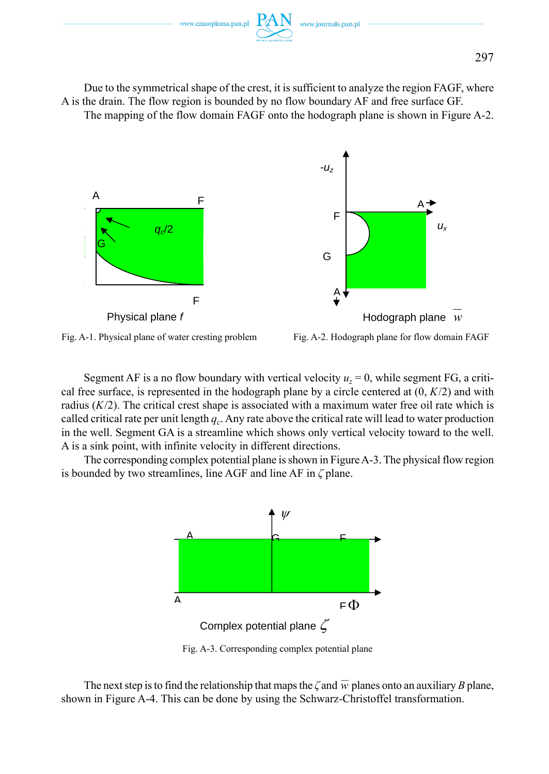

Due to the symmetrical shape of the crest, it is sufficient to analyze the region FAGF, where A is the drain. The flow region is bounded by no flow boundary AF and free surface GF. The mapping of the flow domain FAGF onto the hodograph plane is shown in Figure A-2.





Fig. A-2. Hodograph plane for flow domain FAGF

Segment AF is a no flow boundary with vertical velocity  $u_z = 0$ , while segment FG, a critical free surface, is represented in the hodograph plane by a circle centered at  $(0, K/2)$  and with radius  $(K/2)$ . The critical crest shape is associated with a maximum water free oil rate which is called critical rate per unit length  $q_c$ . Any rate above the critical rate will lead to water production in the well. Segment GA is a streamline which shows only vertical velocity toward to the well. A is a sink point, with infinite velocity in different directions.

The corresponding complex potential plane is shown in Figure A-3. The physical flow region is bounded by two streamlines, line AGF and line AF in *ζ* plane.



Fig. A-3. Corresponding complex potential plane

The next step is to find the relationship that maps the  $\zeta$  and  $\overline{w}$  planes onto an auxiliary *B* plane, shown in Figure A-4. This can be done by using the Schwarz-Christoffel transformation.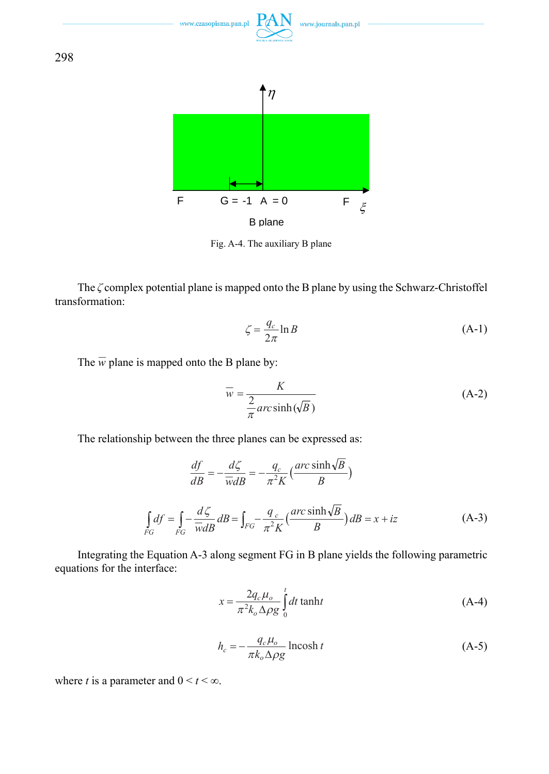

Fig. A-4. The auxiliary B plane

The *ζ* complex potential plane is mapped onto the B plane by using the Schwarz-Christoffel transformation:

$$
\zeta = \frac{q_c}{2\pi} \ln B \tag{A-1}
$$

The  $\overline{w}$  plane is mapped onto the B plane by:

$$
\overline{w} = \frac{K}{\frac{2}{\pi} \arcsinh(\sqrt{B})}
$$
(A-2)

The relationship between the three planes can be expressed as:

$$
\frac{df}{dB} = -\frac{d\zeta}{\overline{w}dB} = -\frac{q_c}{\pi^2 K} \left(\frac{\arcsinh\sqrt{B}}{B}\right)
$$
\n
$$
\int_{FG} df = \int_{FG} -\frac{d\zeta}{\overline{w}dB} dB = \int_{FG} -\frac{q_c}{\pi^2 K} \left(\frac{\arcsinh\sqrt{B}}{B}\right) dB = x + iz \tag{A-3}
$$

Integrating the Equation A-3 along segment FG in B plane yields the following parametric equations for the interface:

$$
x = \frac{2q_c\mu_o}{\pi^2 k_o \Delta \rho g} \int_0^t dt \tanh t
$$
 (A-4)

$$
h_c = -\frac{q_c \mu_o}{\pi k_o \Delta \rho g} \operatorname{lncosh} t \tag{A-5}
$$

where *t* is a parameter and  $0 \le t \le \infty$ .

298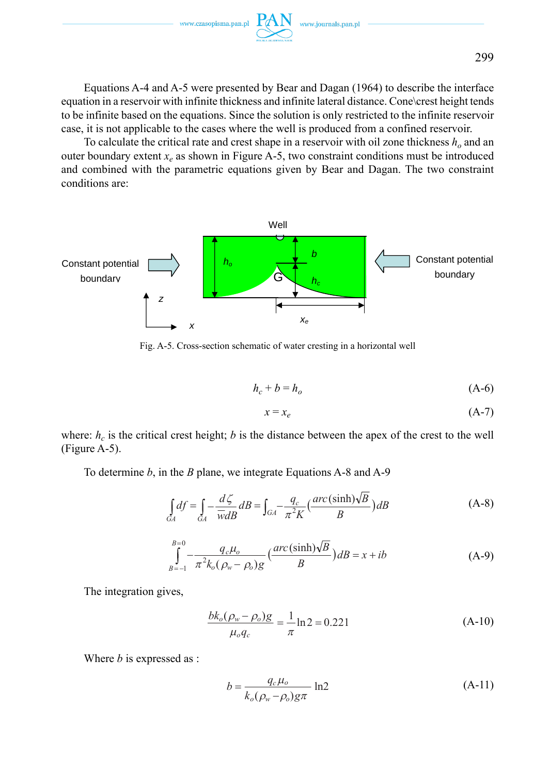www.czasopisma.pan.pl

Equations A-4 and A-5 were presented by Bear and Dagan (1964) to describe the interface equation in a reservoir with infinite thickness and infinite lateral distance. Cone\crest height tends to be infinite based on the equations. Since the solution is only restricted to the infinite reservoir case, it is not applicable to the cases where the well is produced from a confined reservoir.

To calculate the critical rate and crest shape in a reservoir with oil zone thickness  $h_0$  and an outer boundary extent  $x_e$  as shown in Figure A-5, two constraint conditions must be introduced and combined with the parametric equations given by Bear and Dagan. The two constraint conditions are:



Fig. A-5. Cross-section schematic of water cresting in a horizontal well

$$
h_c + b = h_o \tag{A-6}
$$

$$
x = x_e \tag{A-7}
$$

where:  $h_c$  is the critical crest height; *b* is the distance between the apex of the crest to the well (Figure A-5).

To determine *b*, in the *B* plane, we integrate Equations A-8 and A-9

$$
\int_{GA} df = \int_{GA} -\frac{d\zeta}{\overline{w}dB} dB = \int_{GA} -\frac{q_c}{\pi^2 K} \left(\frac{arc(\sinh)\sqrt{B}}{B}\right) dB
$$
\n(A-8)

$$
\int_{B=-1}^{B=0} -\frac{q_c\mu_o}{\pi^2 k_o (\rho_w - \rho_o)g} \left(\frac{arc(\sinh)\sqrt{B}}{B}\right) dB = x + ib \tag{A-9}
$$

The integration gives,

$$
\frac{bk_o(\rho_w - \rho_o)g}{\mu_o q_c} = \frac{1}{\pi} \ln 2 = 0.221
$$
 (A-10)

Where *b* is expressed as :

$$
b = \frac{q_c \mu_o}{k_o(\rho_w - \rho_o)g\pi} \ln 2
$$
 (A-11)